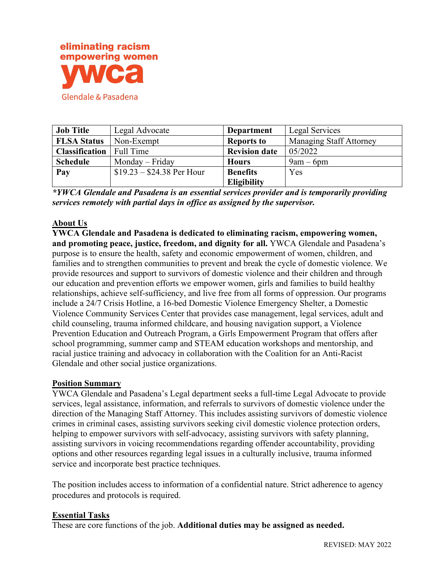

| <b>Job Title</b>      | Legal Advocate             | <b>Department</b>    | Legal Services                 |
|-----------------------|----------------------------|----------------------|--------------------------------|
| <b>FLSA Status</b>    | Non-Exempt                 | <b>Reports to</b>    | <b>Managing Staff Attorney</b> |
| <b>Classification</b> | Full Time                  | <b>Revision date</b> | 05/2022                        |
| <b>Schedule</b>       | Monday – Friday            | <b>Hours</b>         | $9am - 6pm$                    |
| Pay                   | $$19.23 - $24.38$ Per Hour | <b>Benefits</b>      | Yes                            |
|                       |                            | <b>Eligibility</b>   |                                |

*\*YWCA Glendale and Pasadena is an essential services provider and is temporarily providing services remotely with partial days in office as assigned by the supervisor.*

## **About Us**

**YWCA Glendale and Pasadena is dedicated to eliminating racism, empowering women, and promoting peace, justice, freedom, and dignity for all.** YWCA Glendale and Pasadena's purpose is to ensure the health, safety and economic empowerment of women, children, and families and to strengthen communities to prevent and break the cycle of domestic violence. We provide resources and support to survivors of domestic violence and their children and through our education and prevention efforts we empower women, girls and families to build healthy relationships, achieve self-sufficiency, and live free from all forms of oppression. Our programs include a 24/7 Crisis Hotline, a 16-bed Domestic Violence Emergency Shelter, a Domestic Violence Community Services Center that provides case management, legal services, adult and child counseling, trauma informed childcare, and housing navigation support, a Violence Prevention Education and Outreach Program, a Girls Empowerment Program that offers after school programming, summer camp and STEAM education workshops and mentorship, and racial justice training and advocacy in collaboration with the Coalition for an Anti-Racist Glendale and other social justice organizations.

### **Position Summary**

YWCA Glendale and Pasadena's Legal department seeks a full-time Legal Advocate to provide services, legal assistance, information, and referrals to survivors of domestic violence under the direction of the Managing Staff Attorney. This includes assisting survivors of domestic violence crimes in criminal cases, assisting survivors seeking civil domestic violence protection orders, helping to empower survivors with self-advocacy, assisting survivors with safety planning, assisting survivors in voicing recommendations regarding offender accountability, providing options and other resources regarding legal issues in a culturally inclusive, trauma informed service and incorporate best practice techniques.

The position includes access to information of a confidential nature. Strict adherence to agency procedures and protocols is required.

### **Essential Tasks**

These are core functions of the job. **Additional duties may be assigned as needed.**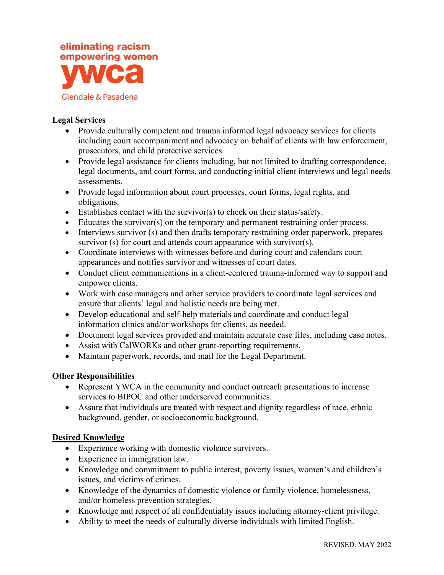

## **Legal Services**

- Provide culturally competent and trauma informed legal advocacy services for clients including court accompaniment and advocacy on behalf of clients with law enforcement, prosecutors, and child protective services.
- Provide legal assistance for clients including, but not limited to drafting correspondence, legal documents, and court forms, and conducting initial client interviews and legal needs assessments.
- Provide legal information about court processes, court forms, legal rights, and obligations.
- Establishes contact with the survivor(s) to check on their status/safety.
- Educates the survivor(s) on the temporary and permanent restraining order process.
- Interviews survivor (s) and then drafts temporary restraining order paperwork, prepares survivor (s) for court and attends court appearance with survivor(s).
- Coordinate interviews with witnesses before and during court and calendars court appearances and notifies survivor and witnesses of court dates.
- Conduct client communications in a client-centered trauma-informed way to support and empower clients.
- Work with case managers and other service providers to coordinate legal services and ensure that clients' legal and holistic needs are being met.
- Develop educational and self-help materials and coordinate and conduct legal information clinics and/or workshops for clients, as needed.
- Document legal services provided and maintain accurate case files, including case notes.
- Assist with CalWORKs and other grant-reporting requirements.
- Maintain paperwork, records, and mail for the Legal Department.

# **Other Responsibilities**

- Represent YWCA in the community and conduct outreach presentations to increase services to BIPOC and other underserved communities.
- Assure that individuals are treated with respect and dignity regardless of race, ethnic background, gender, or socioeconomic background.

# **Desired Knowledge**

- Experience working with domestic violence survivors.
- Experience in immigration law.
- Knowledge and commitment to public interest, poverty issues, women's and children's issues, and victims of crimes.
- Knowledge of the dynamics of domestic violence or family violence, homelessness, and/or homeless prevention strategies.
- Knowledge and respect of all confidentiality issues including attorney-client privilege.
- Ability to meet the needs of culturally diverse individuals with limited English.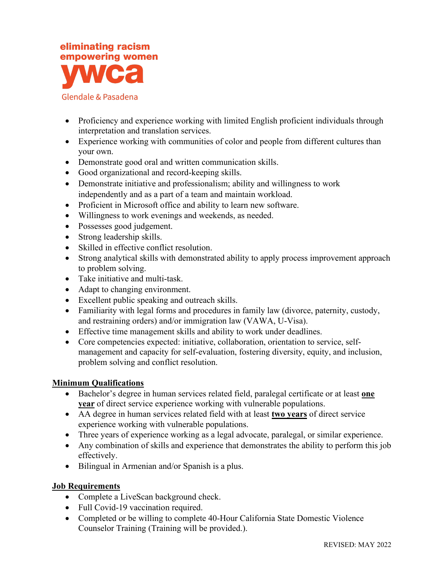

### Glendale & Pasadena

- Proficiency and experience working with limited English proficient individuals through interpretation and translation services.
- Experience working with communities of color and people from different cultures than your own.
- Demonstrate good oral and written communication skills.
- Good organizational and record-keeping skills.
- Demonstrate initiative and professionalism; ability and willingness to work independently and as a part of a team and maintain workload.
- Proficient in Microsoft office and ability to learn new software.
- Willingness to work evenings and weekends, as needed.
- Possesses good judgement.
- Strong leadership skills.
- Skilled in effective conflict resolution.
- Strong analytical skills with demonstrated ability to apply process improvement approach to problem solving.
- Take initiative and multi-task.
- Adapt to changing environment.
- Excellent public speaking and outreach skills.
- Familiarity with legal forms and procedures in family law (divorce, paternity, custody, and restraining orders) and/or immigration law (VAWA, U-Visa).
- Effective time management skills and ability to work under deadlines.
- Core competencies expected: initiative, collaboration, orientation to service, selfmanagement and capacity for self-evaluation, fostering diversity, equity, and inclusion, problem solving and conflict resolution.

# **Minimum Qualifications**

- Bachelor's degree in human services related field, paralegal certificate or at least **one year** of direct service experience working with vulnerable populations.
- AA degree in human services related field with at least **two years** of direct service experience working with vulnerable populations.
- Three years of experience working as a legal advocate, paralegal, or similar experience.
- Any combination of skills and experience that demonstrates the ability to perform this job effectively.
- Bilingual in Armenian and/or Spanish is a plus.

# **Job Requirements**

- Complete a LiveScan background check.
- Full Covid-19 vaccination required.
- Completed or be willing to complete 40-Hour California State Domestic Violence Counselor Training (Training will be provided.).